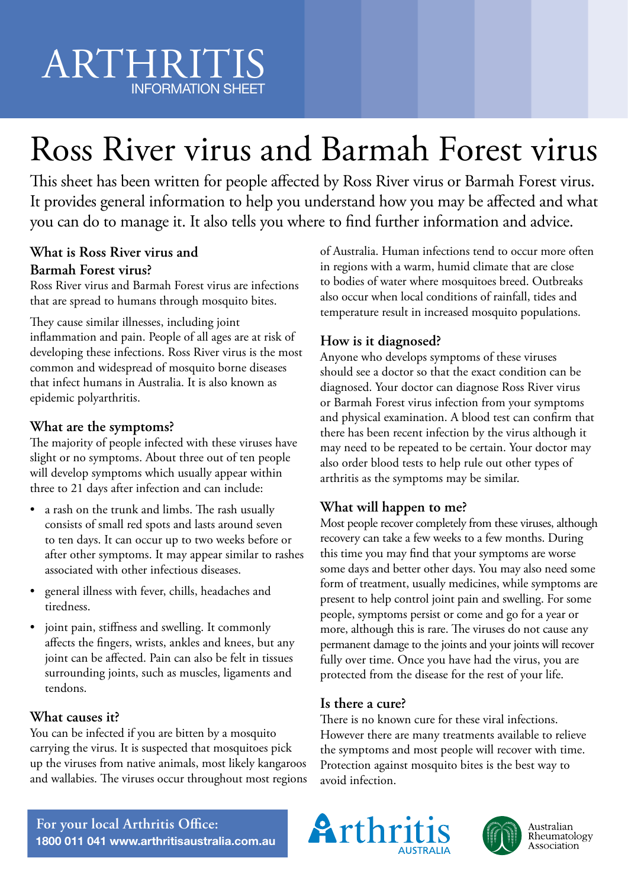# Ross River virus and Barmah Forest virus

This sheet has been written for people affected by Ross River virus or Barmah Forest virus. It provides general information to help you understand how you may be affected and what you can do to manage it. It also tells you where to find further information and advice.

### **What is Ross River virus and Barmah Forest virus?**

Ross River virus and Barmah Forest virus are infections that are spread to humans through mosquito bites.

They cause similar illnesses, including joint inflammation and pain. People of all ages are at risk of developing these infections. Ross River virus is the most common and widespread of mosquito borne diseases that infect humans in Australia. It is also known as epidemic polyarthritis.

### **What are the symptoms?**

The majority of people infected with these viruses have slight or no symptoms. About three out of ten people will develop symptoms which usually appear within three to 21 days after infection and can include:

- a rash on the trunk and limbs. The rash usually consists of small red spots and lasts around seven to ten days. It can occur up to two weeks before or after other symptoms. It may appear similar to rashes associated with other infectious diseases.
- general illness with fever, chills, headaches and tiredness.
- joint pain, stiffness and swelling. It commonly affects the fingers, wrists, ankles and knees, but any joint can be affected. Pain can also be felt in tissues surrounding joints, such as muscles, ligaments and tendons.

### **What causes it?**

You can be infected if you are bitten by a mosquito carrying the virus. It is suspected that mosquitoes pick up the viruses from native animals, most likely kangaroos and wallabies. The viruses occur throughout most regions of Australia. Human infections tend to occur more often in regions with a warm, humid climate that are close to bodies of water where mosquitoes breed. Outbreaks also occur when local conditions of rainfall, tides and temperature result in increased mosquito populations.

### **How is it diagnosed?**

Anyone who develops symptoms of these viruses should see a doctor so that the exact condition can be diagnosed. Your doctor can diagnose Ross River virus or Barmah Forest virus infection from your symptoms and physical examination. A blood test can confirm that there has been recent infection by the virus although it may need to be repeated to be certain. Your doctor may also order blood tests to help rule out other types of arthritis as the symptoms may be similar.

### **What will happen to me?**

Most people recover completely from these viruses, although recovery can take a few weeks to a few months. During this time you may find that your symptoms are worse some days and better other days. You may also need some form of treatment, usually medicines, while symptoms are present to help control joint pain and swelling. For some people, symptoms persist or come and go for a year or more, although this is rare. The viruses do not cause any permanent damage to the joints and your joints will recover fully over time. Once you have had the virus, you are protected from the disease for the rest of your life.

### **Is there a cure?**

There is no known cure for these viral infections. However there are many treatments available to relieve the symptoms and most people will recover with time. Protection against mosquito bites is the best way to avoid infection.

**For your local Arthritis Office: 1800 011 041 www.arthritisaustralia.com.au**